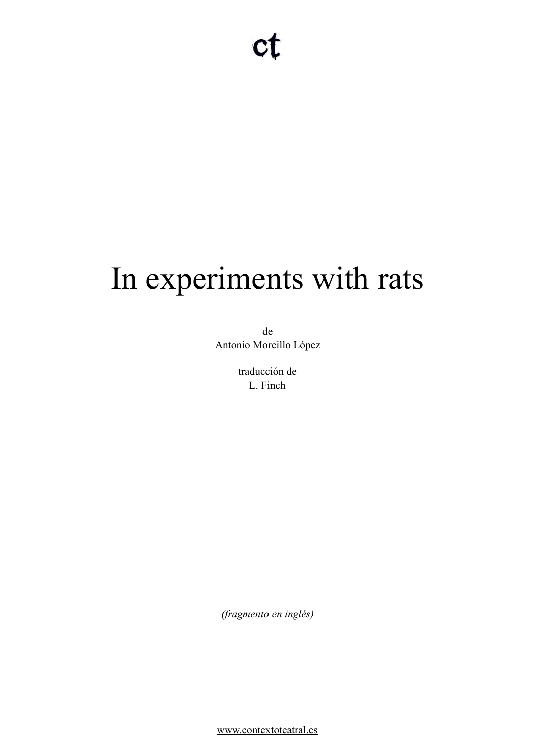# In experiments with rats

de Antonio Morcillo López

> traducción de L. Finch

*(fragmento en inglés)* 

[www.contextoteatral.es](http://www.contextoteatral.es)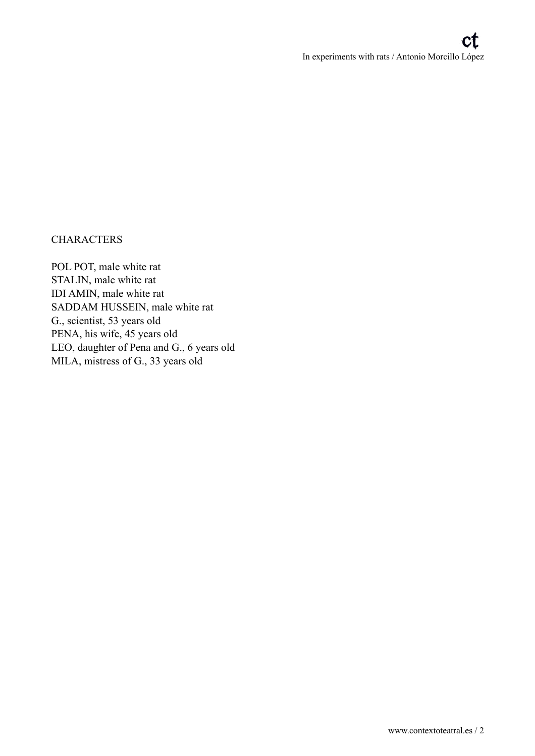#### CHARACTERS

POL POT, male white rat STALIN, male white rat IDI AMIN, male white rat SADDAM HUSSEIN, male white rat G., scientist, 53 years old PENA, his wife, 45 years old LEO, daughter of Pena and G., 6 years old MILA, mistress of G., 33 years old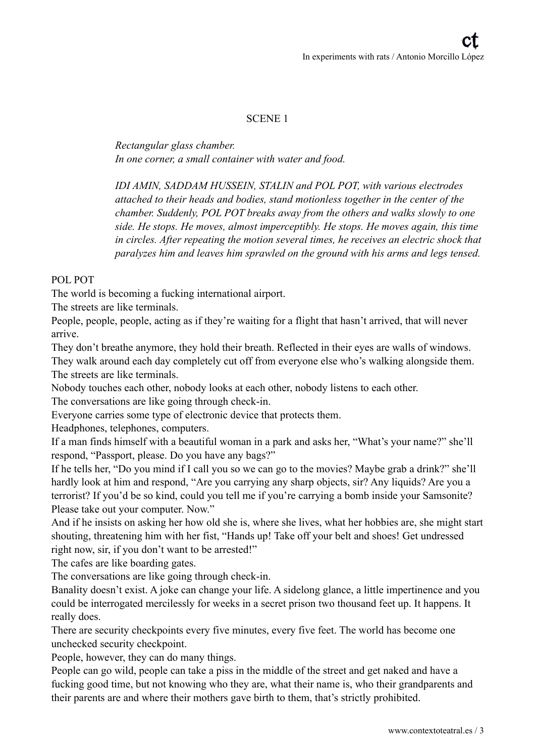# SCENE 1

*Rectangular glass chamber. In one corner, a small container with water and food.* 

*IDI AMIN, SADDAM HUSSEIN, STALIN and POL POT, with various electrodes attached to their heads and bodies, stand motionless together in the center of the chamber. Suddenly, POL POT breaks away from the others and walks slowly to one side. He stops. He moves, almost imperceptibly. He stops. He moves again, this time in circles. After repeating the motion several times, he receives an electric shock that paralyzes him and leaves him sprawled on the ground with his arms and legs tensed.* 

# POL POT

The world is becoming a fucking international airport.

The streets are like terminals.

People, people, people, acting as if they're waiting for a flight that hasn't arrived, that will never arrive.

They don't breathe anymore, they hold their breath. Reflected in their eyes are walls of windows.

They walk around each day completely cut off from everyone else who's walking alongside them. The streets are like terminals.

Nobody touches each other, nobody looks at each other, nobody listens to each other.

The conversations are like going through check-in.

Everyone carries some type of electronic device that protects them.

Headphones, telephones, computers.

If a man finds himself with a beautiful woman in a park and asks her, "What's your name?" she'll respond, "Passport, please. Do you have any bags?"

If he tells her, "Do you mind if I call you so we can go to the movies? Maybe grab a drink?" she'll hardly look at him and respond, "Are you carrying any sharp objects, sir? Any liquids? Are you a terrorist? If you'd be so kind, could you tell me if you're carrying a bomb inside your Samsonite? Please take out your computer. Now."

And if he insists on asking her how old she is, where she lives, what her hobbies are, she might start shouting, threatening him with her fist, "Hands up! Take off your belt and shoes! Get undressed right now, sir, if you don't want to be arrested!"

The cafes are like boarding gates.

The conversations are like going through check-in.

Banality doesn't exist. A joke can change your life. A sidelong glance, a little impertinence and you could be interrogated mercilessly for weeks in a secret prison two thousand feet up. It happens. It really does.

There are security checkpoints every five minutes, every five feet. The world has become one unchecked security checkpoint.

People, however, they can do many things.

People can go wild, people can take a piss in the middle of the street and get naked and have a fucking good time, but not knowing who they are, what their name is, who their grandparents and their parents are and where their mothers gave birth to them, that's strictly prohibited.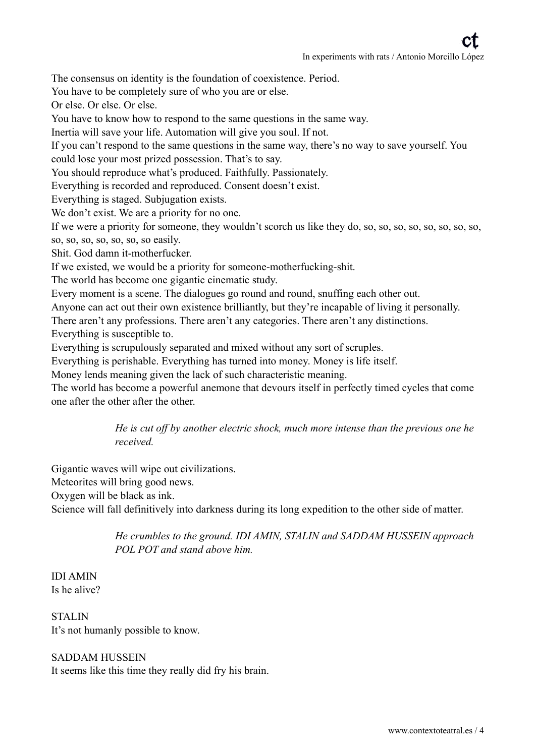The consensus on identity is the foundation of coexistence. Period.

You have to be completely sure of who you are or else.

Or else. Or else. Or else.

You have to know how to respond to the same questions in the same way.

Inertia will save your life. Automation will give you soul. If not.

If you can't respond to the same questions in the same way, there's no way to save yourself. You

could lose your most prized possession. That's to say.

You should reproduce what's produced. Faithfully. Passionately.

Everything is recorded and reproduced. Consent doesn't exist.

Everything is staged. Subjugation exists.

We don't exist. We are a priority for no one.

If we were a priority for someone, they wouldn't scorch us like they do, so, so, so, so, so, so, so, so, so, so, so, so, so, so, so easily.

Shit. God damn it-motherfucker.

If we existed, we would be a priority for someone-motherfucking-shit.

The world has become one gigantic cinematic study.

Every moment is a scene. The dialogues go round and round, snuffing each other out.

Anyone can act out their own existence brilliantly, but they're incapable of living it personally.

There aren't any professions. There aren't any categories. There aren't any distinctions.

Everything is susceptible to.

Everything is scrupulously separated and mixed without any sort of scruples.

Everything is perishable. Everything has turned into money. Money is life itself.

Money lends meaning given the lack of such characteristic meaning.

The world has become a powerful anemone that devours itself in perfectly timed cycles that come one after the other after the other.

> *He is cut off by another electric shock, much more intense than the previous one he received.*

Gigantic waves will wipe out civilizations.

Meteorites will bring good news.

Oxygen will be black as ink.

Science will fall definitively into darkness during its long expedition to the other side of matter.

*He crumbles to the ground. IDI AMIN, STALIN and SADDAM HUSSEIN approach POL POT and stand above him.* 

IDI AMIN Is he alive?

**STALIN** It's not humanly possible to know.

#### SADDAM HUSSEIN

It seems like this time they really did fry his brain.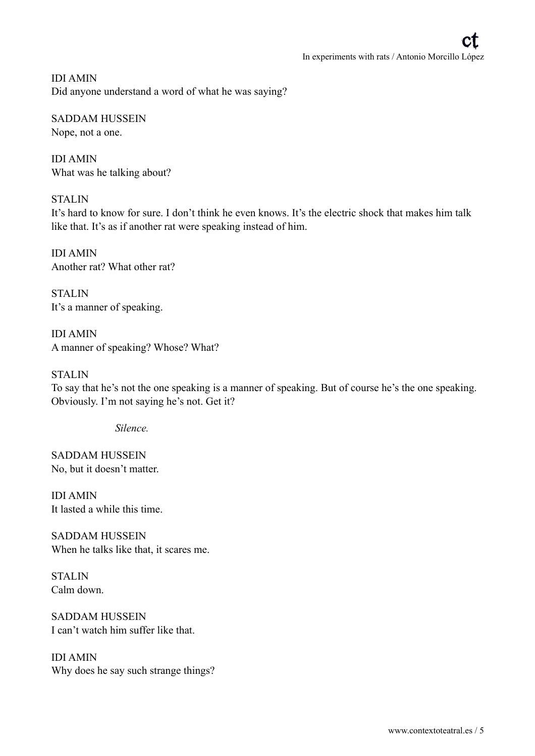IDI AMIN Did anyone understand a word of what he was saying?

SADDAM HUSSEIN Nope, not a one.

IDI AMIN What was he talking about?

**STALIN** 

It's hard to know for sure. I don't think he even knows. It's the electric shock that makes him talk like that. It's as if another rat were speaking instead of him.

IDI AMIN Another rat? What other rat?

STALIN It's a manner of speaking.

IDI AMIN A manner of speaking? Whose? What?

STALIN To say that he's not the one speaking is a manner of speaking. But of course he's the one speaking. Obviously. I'm not saying he's not. Get it?

*Silence.* 

SADDAM HUSSEIN No, but it doesn't matter.

IDI AMIN It lasted a while this time.

SADDAM HUSSEIN When he talks like that, it scares me.

STALIN Calm down.

SADDAM HUSSEIN I can't watch him suffer like that.

IDI AMIN Why does he say such strange things?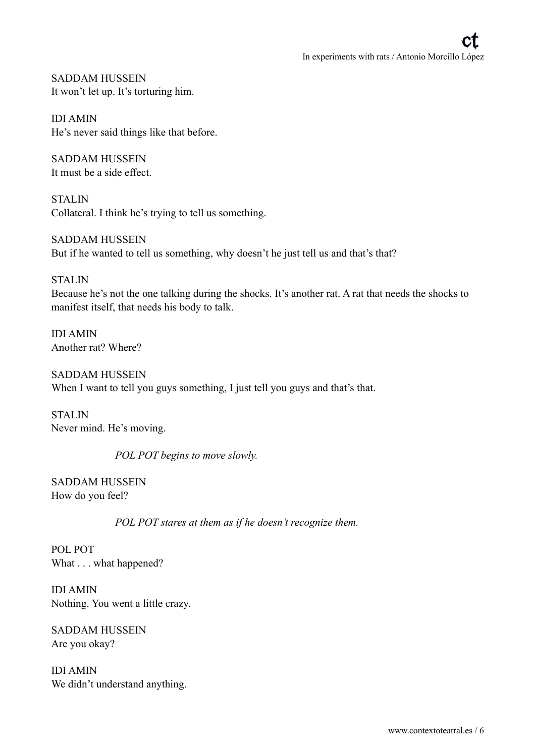SADDAM HUSSEIN It won't let up. It's torturing him.

IDI AMIN He's never said things like that before.

SADDAM HUSSEIN It must be a side effect.

**STALIN** Collateral. I think he's trying to tell us something.

SADDAM HUSSEIN But if he wanted to tell us something, why doesn't he just tell us and that's that?

STALIN Because he's not the one talking during the shocks. It's another rat. A rat that needs the shocks to manifest itself, that needs his body to talk.

IDI AMIN Another rat? Where?

SADDAM HUSSEIN When I want to tell you guys something, I just tell you guys and that's that.

STALIN Never mind. He's moving.

*POL POT begins to move slowly.* 

SADDAM HUSSEIN How do you feel?

*POL POT stares at them as if he doesn't recognize them.* 

POL POT What . . . what happened?

IDI AMIN Nothing. You went a little crazy.

SADDAM HUSSEIN Are you okay?

IDI AMIN We didn't understand anything.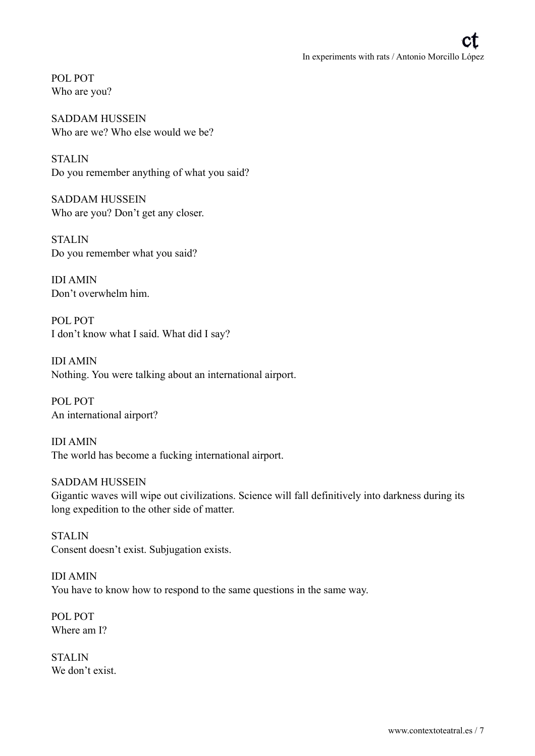POL POT Who are you?

SADDAM HUSSEIN Who are we? Who else would we be?

STALIN Do you remember anything of what you said?

SADDAM HUSSEIN Who are you? Don't get any closer.

**STALIN** Do you remember what you said?

IDI AMIN Don't overwhelm him.

POL POT I don't know what I said. What did I say?

IDI AMIN Nothing. You were talking about an international airport.

POL POT An international airport?

IDI AMIN The world has become a fucking international airport.

SADDAM HUSSEIN Gigantic waves will wipe out civilizations. Science will fall definitively into darkness during its long expedition to the other side of matter.

STALIN Consent doesn't exist. Subjugation exists.

IDI AMIN You have to know how to respond to the same questions in the same way.

POL POT Where am I?

STALIN We don't exist.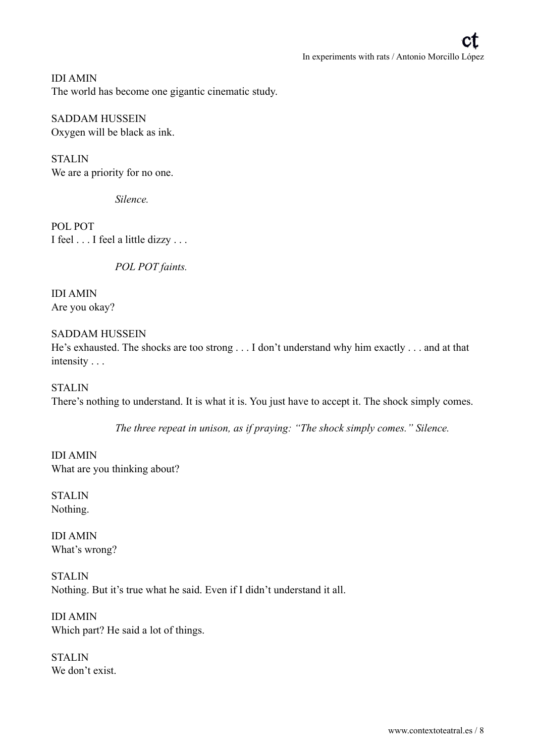IDI AMIN The world has become one gigantic cinematic study.

SADDAM HUSSEIN Oxygen will be black as ink.

STALIN We are a priority for no one.

*Silence.* 

POL POT I feel . . . I feel a little dizzy . . .

*POL POT faints.* 

IDI AMIN Are you okay?

# SADDAM HUSSEIN

He's exhausted. The shocks are too strong . . . I don't understand why him exactly . . . and at that intensity . . .

STALIN There's nothing to understand. It is what it is. You just have to accept it. The shock simply comes.

*The three repeat in unison, as if praying: "The shock simply comes." Silence.* 

IDI AMIN What are you thinking about?

STALIN Nothing.

IDI AMIN What's wrong?

STALIN Nothing. But it's true what he said. Even if I didn't understand it all.

IDI AMIN Which part? He said a lot of things.

STALIN We don't exist.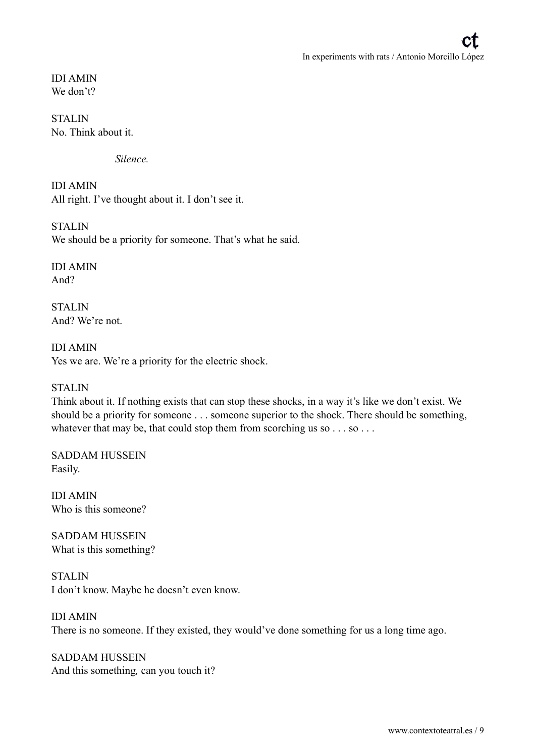IDI AMIN We don't?

STALIN No. Think about it.

*Silence.* 

IDI AMIN All right. I've thought about it. I don't see it.

STALIN We should be a priority for someone. That's what he said.

IDI AMIN And?

STALIN And? We're not.

IDI AMIN Yes we are. We're a priority for the electric shock.

STALIN

Think about it. If nothing exists that can stop these shocks, in a way it's like we don't exist. We should be a priority for someone . . . someone superior to the shock. There should be something, whatever that may be, that could stop them from scorching us so . . . so . . .

SADDAM HUSSEIN Easily.

IDI AMIN Who is this someone?

SADDAM HUSSEIN What is this something?

STALIN I don't know. Maybe he doesn't even know.

IDI AMIN There is no someone. If they existed, they would've done something for us a long time ago.

SADDAM HUSSEIN And this something*,* can you touch it?